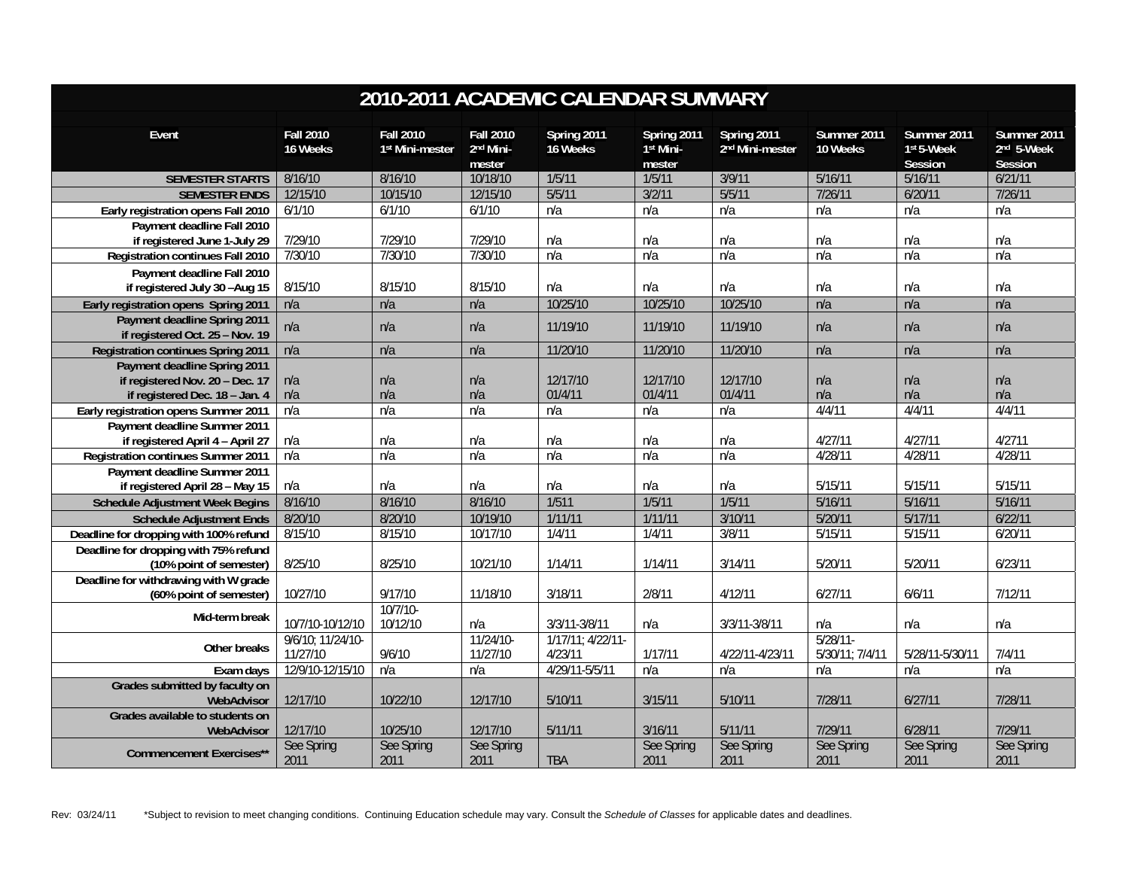| 2010-2011 ACADEMIC CALENDAR SUMMARY                              |                              |                                                 |                                                     |                           |                                                |                                            |                         |                                      |                                                  |
|------------------------------------------------------------------|------------------------------|-------------------------------------------------|-----------------------------------------------------|---------------------------|------------------------------------------------|--------------------------------------------|-------------------------|--------------------------------------|--------------------------------------------------|
| Event                                                            | <b>Fall 2010</b><br>16 Weeks | <b>Fall 2010</b><br>1 <sup>st</sup> Mini-mester | <b>Fall 2010</b><br>2 <sup>nd</sup> Mini-<br>mester | Spring 2011<br>16 Weeks   | Spring 2011<br>1 <sup>st</sup> Mini-<br>mester | Spring 2011<br>2 <sup>nd</sup> Mini-mester | Summer 2011<br>10 Weeks | Summer 2011<br>1st 5-Week<br>Session | Summer 2011<br>2 <sup>nd</sup> 5-Week<br>Session |
| <b>SEMESTER STARTS</b>                                           | 8/16/10                      | 8/16/10                                         | 10/18/10                                            | 1/5/11                    | 1/5/11                                         | 3/9/11                                     | 5/16/11                 | 5/16/11                              | 6/21/11                                          |
| <b>SEMESTER ENDS</b>                                             | 12/15/10                     | 10/15/10                                        | 12/15/10                                            | 5/5/11                    | 3/2/11                                         | 5/5/11                                     | 7/26/11                 | 6/20/11                              | 7/26/11                                          |
| Early registration opens Fall 2010                               | 6/1/10                       | 6/1/10                                          | 6/1/10                                              | n/a                       | n/a                                            | n/a                                        | n/a                     | n/a                                  | n/a                                              |
| Payment deadline Fall 2010                                       |                              |                                                 |                                                     |                           |                                                |                                            |                         |                                      |                                                  |
| if registered June 1-July 29                                     | 7/29/10                      | 7/29/10                                         | 7/29/10                                             | n/a                       | n/a                                            | n/a                                        | n/a                     | n/a                                  | n/a                                              |
| Registration continues Fall 2010                                 | 7/30/10                      | 7/30/10                                         | 7/30/10                                             | n/a                       | n/a                                            | n/a                                        | n/a                     | n/a                                  | n/a                                              |
| Payment deadline Fall 2010<br>if registered July 30 -Aug 15      | 8/15/10                      | 8/15/10                                         | 8/15/10                                             | n/a                       | n/a                                            | n/a                                        | n/a                     | n/a                                  | n/a                                              |
| Early registration opens Spring 2011                             | n/a                          | n/a                                             | n/a                                                 | 10/25/10                  | 10/25/10                                       | 10/25/10                                   | n/a                     | n/a                                  | n/a                                              |
| Payment deadline Spring 2011<br>if registered Oct. 25 - Nov. 19  | n/a                          | n/a                                             | n/a                                                 | 11/19/10                  | 11/19/10                                       | 11/19/10                                   | n/a                     | n/a                                  | n/a                                              |
| <b>Registration continues Spring 2011</b>                        | n/a                          | n/a                                             | n/a                                                 | 11/20/10                  | 11/20/10                                       | 11/20/10                                   | n/a                     | n/a                                  | n/a                                              |
| Payment deadline Spring 2011                                     |                              |                                                 |                                                     |                           |                                                |                                            |                         |                                      |                                                  |
| if registered Nov. 20 - Dec. 17                                  | n/a                          | n/a                                             | n/a                                                 | 12/17/10                  | 12/17/10                                       | 12/17/10                                   | n/a                     | n/a                                  | n/a                                              |
| if registered Dec. 18 - Jan. 4                                   | n/a                          | n/a                                             | n/a                                                 | 01/4/11                   | 01/4/11                                        | 01/4/11                                    | n/a                     | n/a                                  | n/a                                              |
| Early registration opens Summer 2011                             | n/a                          | n/a                                             | n/a                                                 | n/a                       | n/a                                            | n/a                                        | 4/4/11                  | 4/4/11                               | 4/4/11                                           |
| Payment deadline Summer 2011                                     |                              |                                                 |                                                     |                           |                                                |                                            |                         |                                      |                                                  |
| if registered April 4 - April 27                                 | n/a                          | n/a                                             | n/a                                                 | n/a                       | n/a                                            | n/a                                        | 4/27/11                 | 4/27/11                              | 4/2711                                           |
| <b>Registration continues Summer 2011</b>                        | n/a                          | n/a                                             | n/a                                                 | n/a                       | n/a                                            | n/a                                        | 4/28/11                 | 4/28/11                              | 4/28/11                                          |
| Payment deadline Summer 2011                                     |                              |                                                 |                                                     |                           |                                                |                                            |                         |                                      |                                                  |
| if registered April 28 - May 15                                  | n/a                          | n/a                                             | n/a                                                 | n/a                       | n/a                                            | n/a                                        | 5/15/11                 | 5/15/11                              | 5/15/11                                          |
| <b>Schedule Adjustment Week Begins</b>                           | 8/16/10                      | 8/16/10                                         | 8/16/10                                             | 1/511                     | 1/5/11                                         | 1/5/11                                     | 5/16/11                 | 5/16/11                              | 5/16/11                                          |
| <b>Schedule Adjustment Ends</b>                                  | 8/20/10                      | 8/20/10                                         | 10/19/10                                            | 1/11/11                   | 1/11/11                                        | 3/10/11                                    | 5/20/11                 | 5/17/11                              | 6/22/11                                          |
| Deadline for dropping with 100% refund                           | 8/15/10                      | 8/15/10                                         | 10/17/10                                            | 1/4/11                    | 1/4/11                                         | 3/8/11                                     | 5/15/11                 | 5/15/11                              | 6/20/11                                          |
| Deadline for dropping with 75% refund                            |                              |                                                 |                                                     |                           |                                                |                                            |                         |                                      |                                                  |
| (10% point of semester)                                          | 8/25/10                      | 8/25/10                                         | 10/21/10                                            | 1/14/11                   | 1/14/11                                        | 3/14/11                                    | 5/20/11                 | 5/20/11                              | 6/23/11                                          |
| Deadline for withdrawing with W grade<br>(60% point of semester) | 10/27/10                     | 9/17/10                                         | 11/18/10                                            | 3/18/11                   | 2/8/11                                         | 4/12/11                                    | 6/27/11                 | 6/6/11                               | 7/12/11                                          |
| Mid-term break                                                   | 10/7/10-10/12/10             | $10/7/10-$<br>10/12/10                          | n/a                                                 | 3/3/11-3/8/11             | n/a                                            | 3/3/11-3/8/11                              | n/a                     | n/a                                  | n/a                                              |
| Other breaks                                                     | 9/6/10; 11/24/10-            |                                                 | 11/24/10-                                           | $1/17/11$ ; 4/22/11-      |                                                |                                            | 5/28/11                 |                                      |                                                  |
|                                                                  | 11/27/10<br>12/9/10-12/15/10 | 9/6/10                                          | 11/27/10                                            | 4/23/11<br>4/29/11-5/5/11 | 1/17/11<br>n/a                                 | 4/22/11-4/23/11<br>n/a                     | 5/30/11; 7/4/11         | 5/28/11-5/30/11                      | 7/4/11<br>n/a                                    |
| Exam days<br>Grades submitted by faculty on                      |                              | n/a                                             | n/a                                                 |                           |                                                |                                            | n/a                     | n/a                                  |                                                  |
| WebAdvisor                                                       | 12/17/10                     | 10/22/10                                        | 12/17/10                                            | 5/10/11                   | 3/15/11                                        | 5/10/11                                    | 7/28/11                 | 6/27/11                              | 7/28/11                                          |
| Grades available to students on<br>WebAdvisor                    | 12/17/10                     | 10/25/10                                        | 12/17/10                                            | 5/11/11                   | 3/16/11                                        | 5/11/11                                    | 7/29/11                 | 6/28/11                              | 7/29/11                                          |
| <b>Commencement Exercises**</b>                                  | See Spring<br>2011           | See Spring<br>2011                              | See Spring<br>2011                                  | <b>TBA</b>                | See Spring<br>2011                             | See Spring<br>2011                         | See Spring<br>2011      | See Spring<br>2011                   | See Spring<br>2011                               |